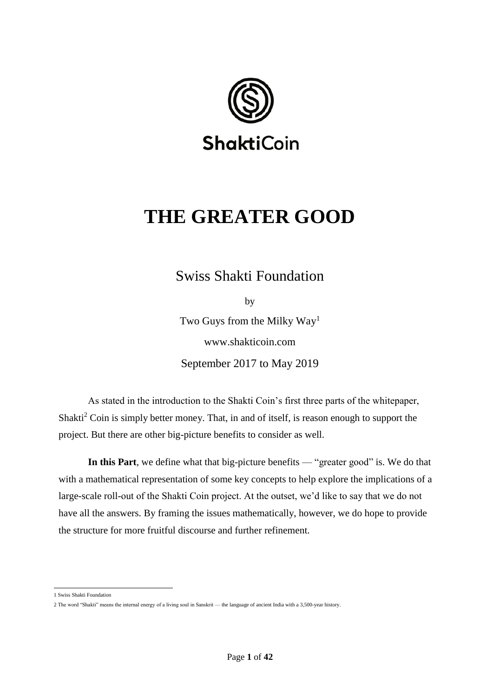

# **THE GREATER GOOD**

Swiss Shakti Foundation

by

Two Guys from the Milky Way<sup>1</sup> www.shakticoin.com September 2017 to May 2019

As stated in the introduction to the Shakti Coin's first three parts of the whitepaper, Shakti<sup>2</sup> Coin is simply better money. That, in and of itself, is reason enough to support the project. But there are other big-picture benefits to consider as well.

**In this Part**, we define what that big-picture benefits — "greater good" is. We do that with a mathematical representation of some key concepts to help explore the implications of a large-scale roll-out of the Shakti Coin project. At the outset, we'd like to say that we do not have all the answers. By framing the issues mathematically, however, we do hope to provide the structure for more fruitful discourse and further refinement.

 1 Swiss Shakti Foundation

<sup>2</sup> The word "Shakti" means the internal energy of a living soul in Sanskrit — the language of ancient India with a 3,500-year history.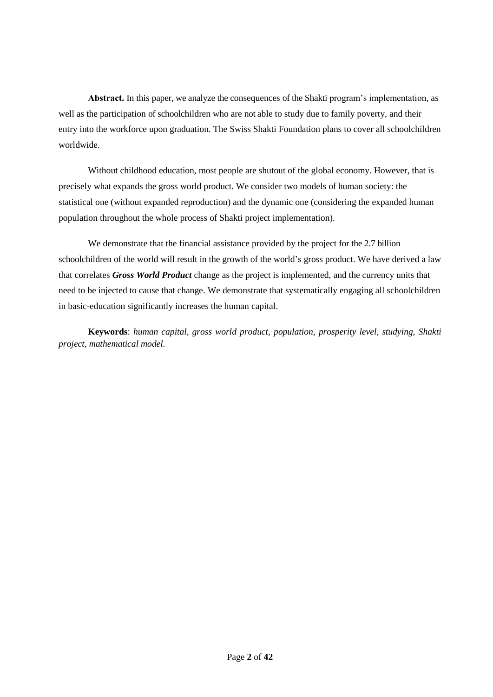**Аbstract.** In this paper, we analyze the consequences of the Shakti program's implementation, as well as the participation of schoolchildren who are not able to study due to family poverty, and their entry into the workforce upon graduation. The Swiss Shakti Foundation plans to cover all schoolchildren worldwide.

Without childhood education, most people are shutout of the global economy. However, that is precisely what expands the gross world product. We consider two models of human society: the statistical one (without expanded reproduction) and the dynamic one (considering the expanded human population throughout the whole process of Shakti project implementation).

We demonstrate that the financial assistance provided by the project for the 2.7 billion schoolchildren of the world will result in the growth of the world's gross product. We have derived a law that correlates *Gross World Product* change as the project is implemented, and the currency units that need to be injected to cause that change. We demonstrate that systematically engaging all schoolchildren in basic-education significantly increases the human capital.

**Keywords**: *human capital, gross world product, population, prosperity level, studying, Shakti project, mathematical model.*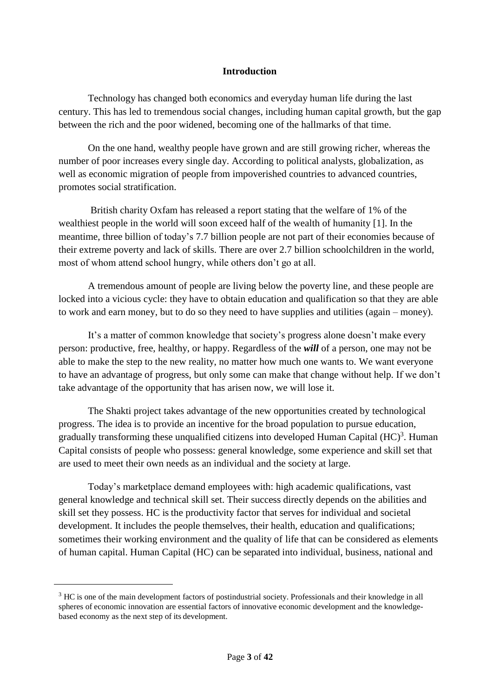### **Introduction**

Technology has changed both economics and everyday human life during the last century. This has led to tremendous social changes, including human capital growth, but the gap between the rich and the poor widened, becoming one of the hallmarks of that time.

On the one hand, wealthy people have grown and are still growing richer, whereas the number of poor increases every single day. According to political analysts, globalization, as well as economic migration of people from impoverished countries to advanced countries, promotes social stratification.

British charity Oxfam has released a report stating that the welfare of 1% of the wealthiest people in the world will soon exceed half of the wealth of humanity [1]. In the meantime, three billion of today's 7.7 billion people are not part of their economies because of their extreme poverty and lack of skills. There are over 2.7 billion schoolchildren in the world, most of whom attend school hungry, while others don't go at all.

A tremendous amount of people are living below the poverty line, and these people are locked into a vicious cycle: they have to obtain education and qualification so that they are able to work and earn money, but to do so they need to have supplies and utilities (again – money).

It's a matter of common knowledge that society's progress alone doesn't make every person: productive, free, healthy, or happy. Regardless of the *will* of a person, one may not be able to make the step to the new reality, no matter how much one wants to. We want everyone to have an advantage of progress, but only some can make that change without help. If we don't take advantage of the opportunity that has arisen now, we will lose it.

The Shakti project takes advantage of the new opportunities created by technological progress. The idea is to provide an incentive for the broad population to pursue education, gradually transforming these unqualified citizens into developed Human Capital  $(HC)^3$ . Human Capital consists of people who possess: general knowledge, some experience and skill set that are used to meet their own needs as an individual and the society at large.

Today's marketplace demand employees with: high academic qualifications, vast general knowledge and technical skill set. Their success directly depends on the abilities and skill set they possess. HC is the productivity factor that serves for individual and societal development. It includes the people themselves, their health, education and qualifications; sometimes their working environment and the quality of life that can be considered as elements of human capital. Human Capital (HC) can be separated into individual, business, national and

l

<sup>&</sup>lt;sup>3</sup> HC is one of the main development factors of postindustrial society. Professionals and their knowledge in all spheres of economic innovation are essential factors of innovative economic development and the knowledgebased economy as the next step of its development.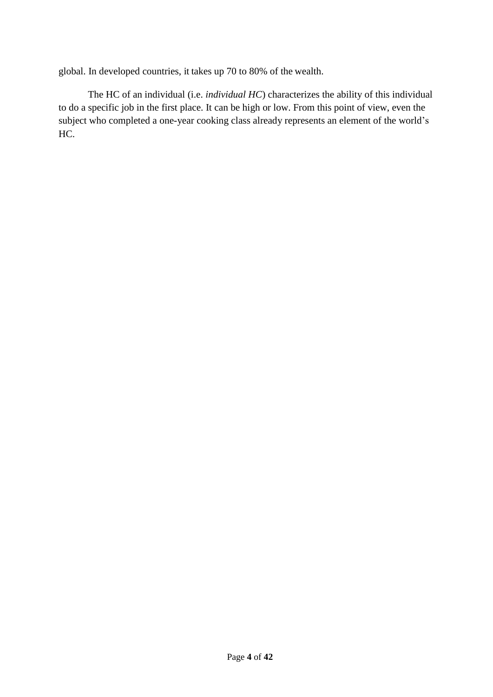global. In developed countries, it takes up 70 to 80% of the wealth.

The HC of an individual (i.e. *individual HC*) characterizes the ability of this individual to do a specific job in the first place. It can be high or low. From this point of view, even the subject who completed a one-year cooking class already represents an element of the world's HC.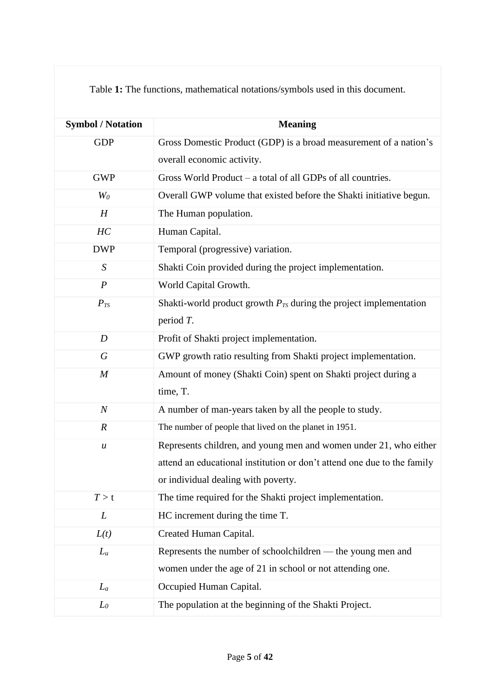| Table 1: The functions, mathematical notations/symbols used in this document. |  |
|-------------------------------------------------------------------------------|--|
|-------------------------------------------------------------------------------|--|

| <b>Symbol / Notation</b> | <b>Meaning</b>                                                          |
|--------------------------|-------------------------------------------------------------------------|
| <b>GDP</b>               | Gross Domestic Product (GDP) is a broad measurement of a nation's       |
|                          | overall economic activity.                                              |
| <b>GWP</b>               | Gross World Product – a total of all GDPs of all countries.             |
| $W_0$                    | Overall GWP volume that existed before the Shakti initiative begun.     |
| H                        | The Human population.                                                   |
| HC                       | Human Capital.                                                          |
| <b>DWP</b>               | Temporal (progressive) variation.                                       |
| $\boldsymbol{S}$         | Shakti Coin provided during the project implementation.                 |
| $\boldsymbol{P}$         | World Capital Growth.                                                   |
| $P_{TS}$                 | Shakti-world product growth $P_{TS}$ during the project implementation  |
|                          | period $T$ .                                                            |
| D                        | Profit of Shakti project implementation.                                |
| $\boldsymbol{G}$         | GWP growth ratio resulting from Shakti project implementation.          |
| $\boldsymbol{M}$         | Amount of money (Shakti Coin) spent on Shakti project during a          |
|                          | time, T.                                                                |
| $\boldsymbol{N}$         | A number of man-years taken by all the people to study.                 |
| $\boldsymbol{R}$         | The number of people that lived on the planet in 1951.                  |
| $\boldsymbol{u}$         | Represents children, and young men and women under 21, who either       |
|                          | attend an educational institution or don't attend one due to the family |
|                          | or individual dealing with poverty.                                     |
| T > t                    | The time required for the Shakti project implementation.                |
| L                        | HC increment during the time T.                                         |
| L(t)                     | Created Human Capital.                                                  |
| $L_u$                    | Represents the number of schoolchildren — the young men and             |
|                          | women under the age of 21 in school or not attending one.               |
| $L_a$                    | Occupied Human Capital.                                                 |
| $L_0$                    | The population at the beginning of the Shakti Project.                  |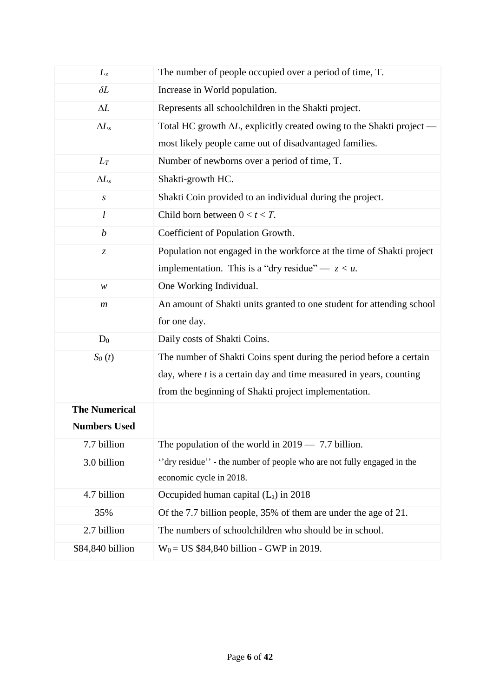| $L_z$                         | The number of people occupied over a period of time, T.                       |  |
|-------------------------------|-------------------------------------------------------------------------------|--|
| $\delta L$                    | Increase in World population.                                                 |  |
| $\Delta L$                    | Represents all schoolchildren in the Shakti project.                          |  |
| $\Delta L_s$                  | Total HC growth $\Delta L$ , explicitly created owing to the Shakti project - |  |
|                               | most likely people came out of disadvantaged families.                        |  |
| $L_T$                         | Number of newborns over a period of time, T.                                  |  |
| $\Delta L_s$                  | Shakti-growth HC.                                                             |  |
| $\boldsymbol{S}$              | Shakti Coin provided to an individual during the project.                     |  |
| l                             | Child born between $0 < t < T$ .                                              |  |
| $\boldsymbol{b}$              | Coefficient of Population Growth.                                             |  |
| $\ensuremath{\mathnormal{Z}}$ | Population not engaged in the workforce at the time of Shakti project         |  |
|                               | implementation. This is a "dry residue" $-z < u$ .                            |  |
| W                             | One Working Individual.                                                       |  |
| $\boldsymbol{m}$              | An amount of Shakti units granted to one student for attending school         |  |
|                               | for one day.                                                                  |  |
| $D_0$                         | Daily costs of Shakti Coins.                                                  |  |
| $S_0(t)$                      | The number of Shakti Coins spent during the period before a certain           |  |
|                               | day, where $t$ is a certain day and time measured in years, counting          |  |
|                               | from the beginning of Shakti project implementation.                          |  |
| <b>The Numerical</b>          |                                                                               |  |
| <b>Numbers Used</b>           |                                                                               |  |
| 7.7 billion                   | The population of the world in $2019 - 7.7$ billion.                          |  |
| 3.0 billion                   | "dry residue" - the number of people who are not fully engaged in the         |  |
|                               | economic cycle in 2018.                                                       |  |
| 4.7 billion                   | Occupided human capital $(L_a)$ in 2018                                       |  |
| 35%                           | Of the 7.7 billion people, 35% of them are under the age of 21.               |  |
| 2.7 billion                   | The numbers of schoolchildren who should be in school.                        |  |
| \$84,840 billion              | $W_0 = US $84,840 billion - GWP in 2019.$                                     |  |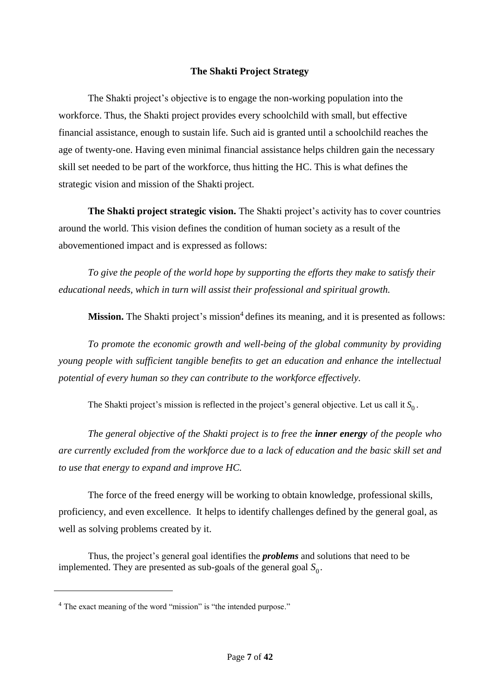### **The Shakti Project Strategy**

The Shakti project's objective is to engage the non-working population into the workforce. Thus, the Shakti project provides every schoolchild with small, but effective financial assistance, enough to sustain life. Such aid is granted until a schoolchild reaches the age of twenty-one. Having even minimal financial assistance helps children gain the necessary skill set needed to be part of the workforce, thus hitting the HC. This is what defines the strategic vision and mission of the Shakti project.

**The Shakti project strategic vision.** The Shakti project's activity has to cover countries around the world. This vision defines the condition of human society as a result of the abovementioned impact and is expressed as follows:

*To give the people of the world hope by supporting the efforts they make to satisfy their educational needs, which in turn will assist their professional and spiritual growth.*

Mission. The Shakti project's mission<sup>4</sup> defines its meaning, and it is presented as follows:

*To promote the economic growth and well-being of the global community by providing young people with sufficient tangible benefits to get an education and enhance the intellectual potential of every human so they can contribute to the workforce effectively.*

The Shakti project's mission is reflected in the project's general objective. Let us call it  $S_0$ .

*The general objective of the Shakti project is to free the inner energy of the people who are currently excluded from the workforce due to a lack of education and the basic skill set and to use that energy to expand and improve HC.*

The force of the freed energy will be working to obtain knowledge, professional skills, proficiency, and even excellence. It helps to identify challenges defined by the general goal, as well as solving problems created by it.

Thus, the project's general goal identifies the *problems* and solutions that need to be implemented. They are presented as sub-goals of the general goal  $S_0$ .

 $\overline{a}$ 

<sup>&</sup>lt;sup>4</sup> The exact meaning of the word "mission" is "the intended purpose."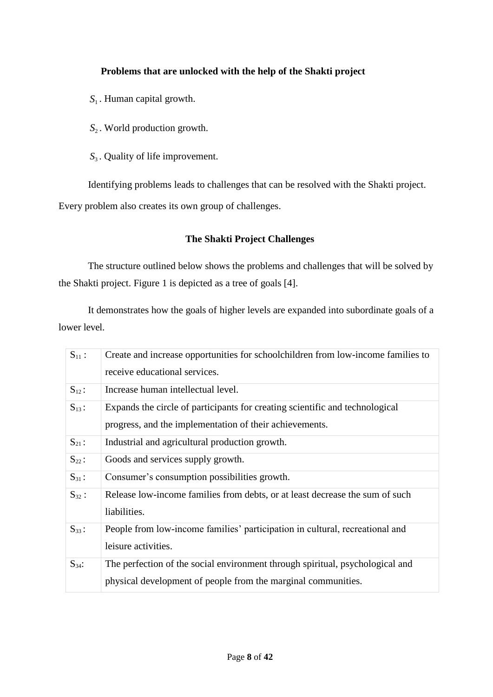## **Problems that are unlocked with the help of the Shakti project**

- *S*1 . Human capital growth.
- *S*2 . World production growth.
- *S*<sub>3</sub>. Quality of life improvement.

Identifying problems leads to challenges that can be resolved with the Shakti project.

Every problem also creates its own group of challenges.

## **The Shakti Project Challenges**

The structure outlined below shows the problems and challenges that will be solved by the Shakti project. Figure 1 is depicted as a tree of goals [4].

It demonstrates how the goals of higher levels are expanded into subordinate goals of a lower level.

| $S_{11}$ : | Create and increase opportunities for schoolchildren from low-income families to<br>receive educational services.                              |
|------------|------------------------------------------------------------------------------------------------------------------------------------------------|
| $S_{12}$ : | Increase human intellectual level.                                                                                                             |
| $S_{13}$ : | Expands the circle of participants for creating scientific and technological<br>progress, and the implementation of their achievements.        |
| $S_{21}$ : | Industrial and agricultural production growth.                                                                                                 |
| $S_{22}$ : | Goods and services supply growth.                                                                                                              |
| $S_{31}$ : | Consumer's consumption possibilities growth.                                                                                                   |
| $S_{32}$ : | Release low-income families from debts, or at least decrease the sum of such<br>liabilities.                                                   |
| $S_{33}$ : | People from low-income families' participation in cultural, recreational and<br>leisure activities.                                            |
| $S_{34}$ : | The perfection of the social environment through spiritual, psychological and<br>physical development of people from the marginal communities. |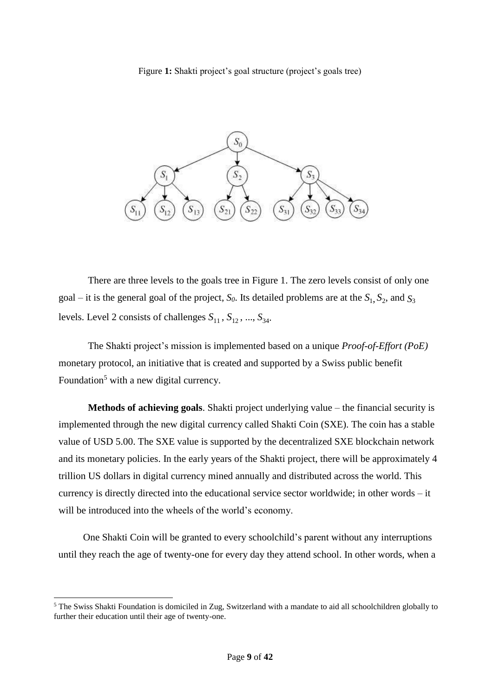#### Figure **1:** Shakti project's goal structure (project's goals tree)



There are three levels to the goals tree in Figure 1. The zero levels consist of only one goal – it is the general goal of the project,  $S_0$ . Its detailed problems are at the  $S_1$ ,  $S_2$ , and  $S_3$ levels. Level 2 consists of challenges  $S_{11}$ ,  $S_{12}$ , ...,  $S_{34}$ .

The Shakti project's mission is implemented based on a unique *Proof-of-Effort (PoE)* monetary protocol, an initiative that is created and supported by a Swiss public benefit Foundation<sup>5</sup> with a new digital currency.

**Methods of achieving goals**. Shakti project underlying value – the financial security is implemented through the new digital currency called Shakti Coin (SXE). The coin has a stable value of USD 5.00. The SXE value is supported by the decentralized SXE blockchain network and its monetary policies. In the early years of the Shakti project, there will be approximately 4 trillion US dollars in digital currency mined annually and distributed across the world. This currency is directly directed into the educational service sector worldwide; in other words – it will be introduced into the wheels of the world's economy.

One Shakti Coin will be granted to every schoolchild's parent without any interruptions until they reach the age of twenty-one for every day they attend school. In other words, when a

l

<sup>5</sup> The Swiss Shakti Foundation is domiciled in Zug, Switzerland with a mandate to aid all schoolchildren globally to further their education until their age of twenty-one.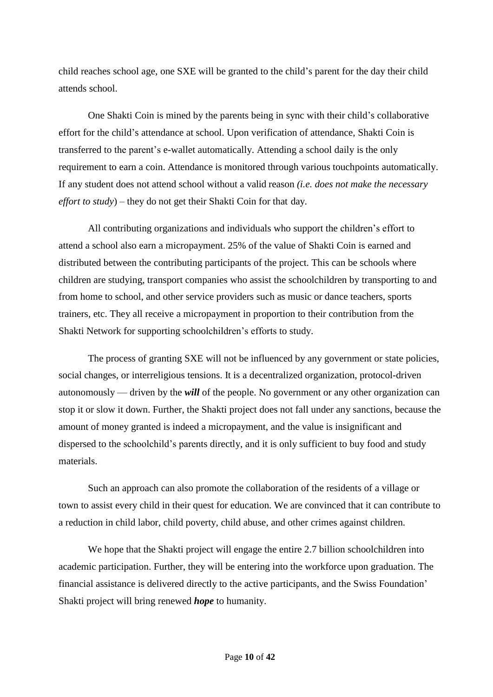child reaches school age, one SXE will be granted to the child's parent for the day their child attends school.

One Shakti Coin is mined by the parents being in sync with their child's collaborative effort for the child's attendance at school. Upon verification of attendance, Shakti Coin is transferred to the parent's e-wallet automatically. Attending a school daily is the only requirement to earn a coin. Attendance is monitored through various touchpoints automatically. If any student does not attend school without a valid reason *(i.e. does not make the necessary effort to study*) – they do not get their Shakti Coin for that day.

All contributing organizations and individuals who support the children's effort to attend a school also earn a micropayment. 25% of the value of Shakti Coin is earned and distributed between the contributing participants of the project. This can be schools where children are studying, transport companies who assist the schoolchildren by transporting to and from home to school, and other service providers such as music or dance teachers, sports trainers, etc. They all receive a micropayment in proportion to their contribution from the Shakti Network for supporting schoolchildren's efforts to study.

The process of granting SXE will not be influenced by any government or state policies, social changes, or interreligious tensions. It is a decentralized organization, protocol-driven autonomously — driven by the *will* of the people. No government or any other organization can stop it or slow it down. Further, the Shakti project does not fall under any sanctions, because the amount of money granted is indeed a micropayment, and the value is insignificant and dispersed to the schoolchild's parents directly, and it is only sufficient to buy food and study materials.

Such an approach can also promote the collaboration of the residents of a village or town to assist every child in their quest for education. We are convinced that it can contribute to a reduction in child labor, child poverty, child abuse, and other crimes against children.

We hope that the Shakti project will engage the entire 2.7 billion schoolchildren into academic participation. Further, they will be entering into the workforce upon graduation. The financial assistance is delivered directly to the active participants, and the Swiss Foundation' Shakti project will bring renewed *hope* to humanity.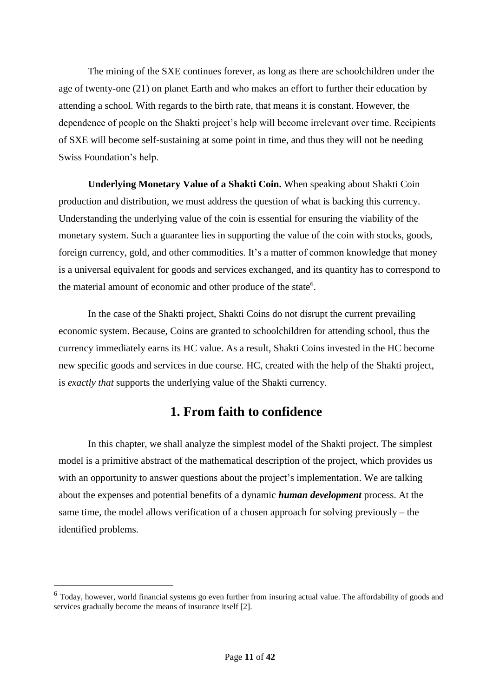The mining of the SXE continues forever, as long as there are schoolchildren under the age of twenty-one (21) on planet Earth and who makes an effort to further their education by attending a school. With regards to the birth rate, that means it is constant. However, the dependence of people on the Shakti project's help will become irrelevant over time. Recipients of SXE will become self-sustaining at some point in time, and thus they will not be needing Swiss Foundation's help.

**Underlying Monetary Value of a Shakti Coin.** When speaking about Shakti Coin production and distribution, we must address the question of what is backing this currency. Understanding the underlying value of the coin is essential for ensuring the viability of the monetary system. Such a guarantee lies in supporting the value of the coin with stocks, goods, foreign currency, gold, and other commodities. It's a matter of common knowledge that money is a universal equivalent for goods and services exchanged, and its quantity has to correspond to the material amount of economic and other produce of the state<sup>6</sup>.

In the case of the Shakti project, Shakti Coins do not disrupt the current prevailing economic system. Because, Coins are granted to schoolchildren for attending school, thus the currency immediately earns its HC value. As a result, Shakti Coins invested in the HC become new specific goods and services in due course. HC, created with the help of the Shakti project, is *exactly that* supports the underlying value of the Shakti currency.

## **1. From faith to confidence**

In this chapter, we shall analyze the simplest model of the Shakti project. The simplest model is a primitive abstract of the mathematical description of the project, which provides us with an opportunity to answer questions about the project's implementation. We are talking about the expenses and potential benefits of a dynamic *human development* process. At the same time, the model allows verification of a chosen approach for solving previously – the identified problems.

l

<sup>&</sup>lt;sup>6</sup> Today, however, world financial systems go even further from insuring actual value. The affordability of goods and services gradually become the means of insurance itself [2].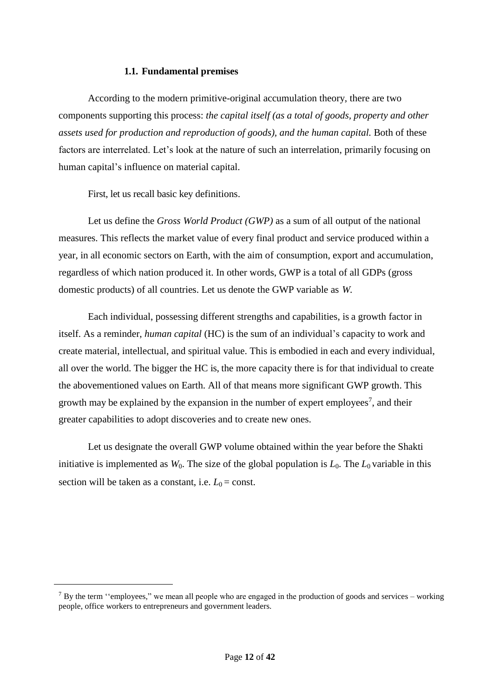#### **1.1. Fundamental premises**

According to the modern primitive-original accumulation theory, there are two components supporting this process: *the capital itself (as a total of goods, property and other assets used for production and reproduction of goods), and the human capital.* Both of these factors are interrelated. Let's look at the nature of such an interrelation, primarily focusing on human capital's influence on material capital.

First, let us recall basic key definitions.

 $\overline{a}$ 

Let us define the *Gross World Product (GWP)* as a sum of all output of the national measures. This reflects the market value of every final product and service produced within a year, in all economic sectors on Earth, with the aim of consumption, export and accumulation, regardless of which nation produced it. In other words, GWP is a total of all GDPs (gross domestic products) of all countries. Let us denote the GWP variable as *W.*

Each individual, possessing different strengths and capabilities, is a growth factor in itself. As a reminder, *human capital* (HC) is the sum of an individual's capacity to work and create material, intellectual, and spiritual value. This is embodied in each and every individual, all over the world. The bigger the HC is, the more capacity there is for that individual to create the abovementioned values on Earth. All of that means more significant GWP growth. This growth may be explained by the expansion in the number of expert employees<sup>7</sup>, and their greater capabilities to adopt discoveries and to create new ones.

Let us designate the overall GWP volume obtained within the year before the Shakti initiative is implemented as  $W_0$ . The size of the global population is  $L_0$ . The  $L_0$  variable in this section will be taken as a constant, i.e.  $L_0 = \text{const.}$ 

 $7$  By the term "employees," we mean all people who are engaged in the production of goods and services – working people, office workers to entrepreneurs and government leaders.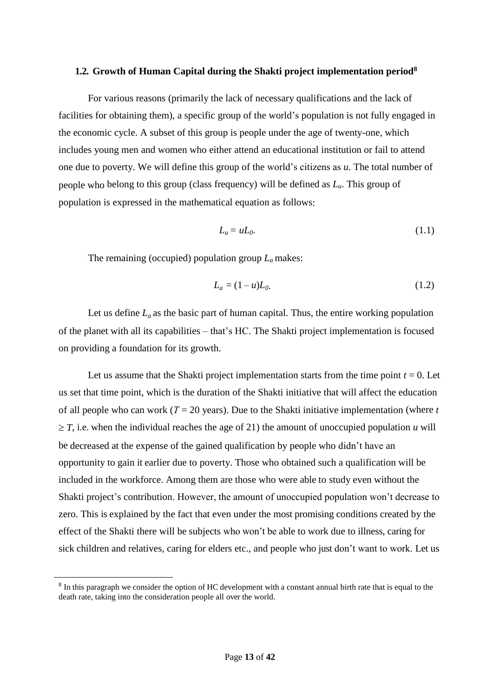#### **1.2. Growth of Human Capital during the Shakti project implementation period<sup>8</sup>**

For various reasons (primarily the lack of necessary qualifications and the lack of facilities for obtaining them), a specific group of the world's population is not fully engaged in the economic cycle. A subset of this group is people under the age of twenty-one, which includes young men and women who either attend an educational institution or fail to attend one due to poverty. We will define this group of the world's citizens as *u.* The total number of people who belong to this group (class frequency) will be defined as *Lu*. This group of population is expressed in the mathematical equation as follows:

$$
L_u = uL_0. \tag{1.1}
$$

The remaining (occupied) population group *La* makes:

$$
L_a = (1 - u)L_0.
$$
 (1.2)

Let us define  $L_a$  as the basic part of human capital. Thus, the entire working population of the planet with all its capabilities – that's HC. The Shakti project implementation is focused on providing a foundation for its growth.

Let us assume that the Shakti project implementation starts from the time point  $t = 0$ . Let us set that time point, which is the duration of the Shakti initiative that will affect the education of all people who can work (*Т* = 20 years). Due to the Shakti initiative implementation (where *t*   $\geq$  *T*, i.e. when the individual reaches the age of 21) the amount of unoccupied population *u* will be decreased at the expense of the gained qualification by people who didn't have an opportunity to gain it earlier due to poverty. Those who obtained such a qualification will be included in the workforce. Among them are those who were able to study even without the Shakti project's contribution. However, the amount of unoccupied population won't decrease to zero. This is explained by the fact that even under the most promising conditions created by the effect of the Shakti there will be subjects who won't be able to work due to illness, caring for sick children and relatives, caring for elders etc., and people who just don't want to work. Let us

l

 $8$  In this paragraph we consider the option of HC development with a constant annual birth rate that is equal to the death rate, taking into the consideration people all over the world.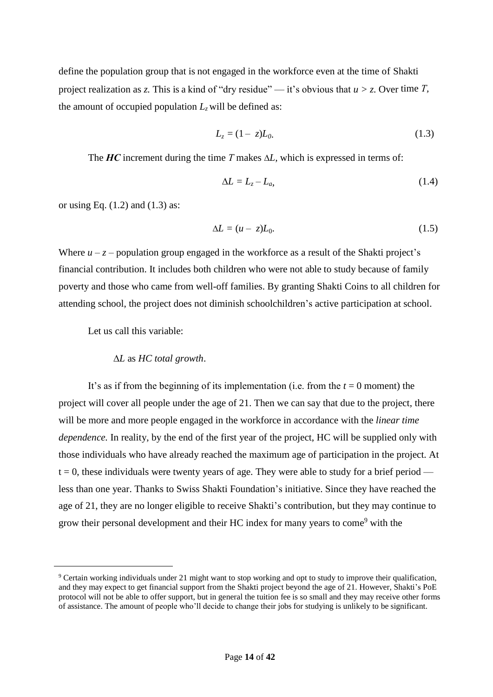define the population group that is not engaged in the workforce even at the time of Shakti project realization as *z*. This is a kind of "dry residue" — it's obvious that  $u > z$ . Over time *T*, the amount of occupied population  $L_z$  will be defined as:

$$
L_z = (1 - z)L_0.
$$
 (1.3)

The  $HC$  increment during the time  $T$  makes  $\Delta L$ , which is expressed in terms of:

$$
\Delta L = L_z - L_a,\tag{1.4}
$$

or using Eq.  $(1.2)$  and  $(1.3)$  as:

$$
\Delta L = (u - z)L_0. \tag{1.5}
$$

Where  $u - z$  – population group engaged in the workforce as a result of the Shakti project's financial contribution. It includes both children who were not able to study because of family poverty and those who came from well-off families. By granting Shakti Coins to all children for attending school, the project does not diminish schoolchildren's active participation at school.

Let us call this variable:

 $\overline{a}$ 

#### *L* as *HC total growth*.

It's as if from the beginning of its implementation (i.e. from the  $t = 0$  moment) the project will cover all people under the age of 21. Then we can say that due to the project, there will be more and more people engaged in the workforce in accordance with the *linear time dependence.* In reality, by the end of the first year of the project, HC will be supplied only with those individuals who have already reached the maximum age of participation in the project. At  $t = 0$ , these individuals were twenty years of age. They were able to study for a brief period less than one year. Thanks to Swiss Shakti Foundation's initiative. Since they have reached the age of 21, they are no longer eligible to receive Shakti's contribution, but they may continue to grow their personal development and their HC index for many years to come<sup>9</sup> with the

<sup>&</sup>lt;sup>9</sup> Certain working individuals under 21 might want to stop working and opt to study to improve their qualification, and they may expect to get financial support from the Shakti project beyond the age of 21. However, Shakti's PoE protocol will not be able to offer support, but in general the tuition fee is so small and they may receive other forms of assistance. The amount of people who'll decide to change their jobs for studying is unlikely to be significant.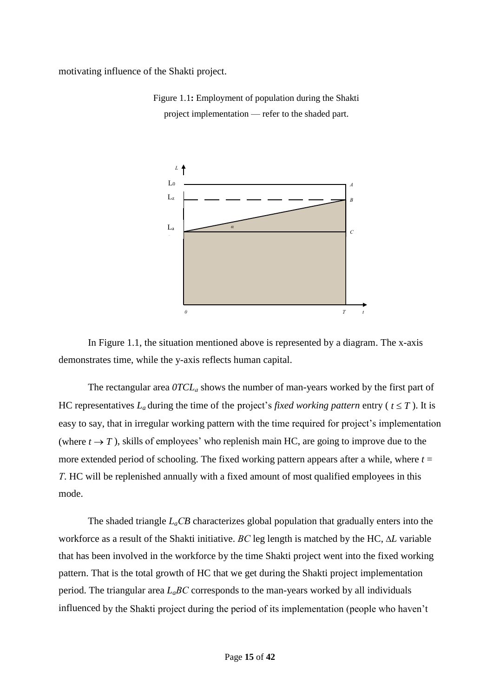motivating influence of the Shakti project.



Figure 1.1**:** Employment of population during the Shakti project implementation — refer to the shaded part.

In Figure 1.1, the situation mentioned above is represented by a diagram. The x-axis demonstrates time, while the y-axis reflects human capital.

The rectangular area *0TCL<sup>а</sup>* shows the number of man-years worked by the first part of HC representatives  $L_a$  during the time of the project's *fixed working pattern* entry ( $t \leq T$ ). It is easy to say, that in irregular working pattern with the time required for project's implementation (where  $t \to T$ ), skills of employees' who replenish main HC, are going to improve due to the more extended period of schooling. The fixed working pattern appears after a while, where  $t =$ *Т*. HC will be replenished annually with a fixed amount of most qualified employees in this mode.

The shaded triangle  $L_aCB$  characterizes global population that gradually enters into the workforce as a result of the Shakti initiative. *ВС* leg length is matched by the HC, *L* variable that has been involved in the workforce by the time Shakti project went into the fixed working pattern. That is the total growth of HC that we get during the Shakti project implementation period. The triangular area *LaВС* corresponds to the man-years worked by all individuals influenced by the Shakti project during the period of its implementation (people who haven't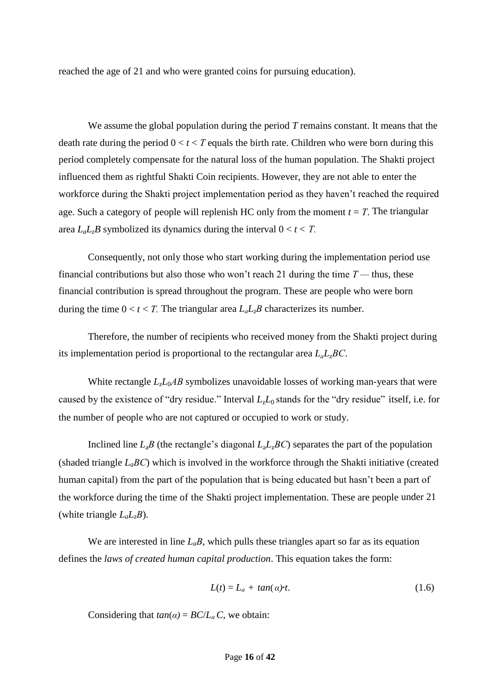reached the age of 21 and who were granted coins for pursuing education).

We assume the global population during the period *T* remains constant. It means that the death rate during the period  $0 < t < T$  equals the birth rate. Children who were born during this period completely compensate for the natural loss of the human population. The Shakti project influenced them as rightful Shakti Coin recipients. However, they are not able to enter the workforce during the Shakti project implementation period as they haven't reached the required age. Such a category of people will replenish HC only from the moment  $t = T$ . The triangular area  $L_a L_z B$  symbolized its dynamics during the interval  $0 < t < T$ .

Consequently, not only those who start working during the implementation period use financial contributions but also those who won't reach 21 during the time  $T$ — thus, these financial contribution is spread throughout the program. These are people who were born during the time  $0 < t < T$ . The triangular area  $L_a L_z B$  characterizes its number.

Therefore, the number of recipients who received money from the Shakti project during its implementation period is proportional to the rectangular area  $L_a L_z BC$ .

White rectangle  $L_2L_0AB$  symbolizes unavoidable losses of working man-years that were caused by the existence of "dry residue." Interval *L*z*L*<sup>0</sup> stands for the "dry residue" itself, i.e. for the number of people who are not captured or occupied to work or study.

Inclined line  $L_a B$  (the rectangle's diagonal  $L_a L_z BC$ ) separates the part of the population (shaded triangle *LaВС*) which is involved in the workforce through the Shakti initiative (created human capital) from the part of the population that is being educated but hasn't been a part of the workforce during the time of the Shakti project implementation. These are people under 21 (white triangle *LaLzВ*).

We are interested in line  $L_a B$ , which pulls these triangles apart so far as its equation defines the *laws of created human capital production*. This equation takes the form:

$$
L(t) = L_a + \tan(a)t. \tag{1.6}
$$

Considering that  $tan(\alpha) = BC/L_a C$ , we obtain: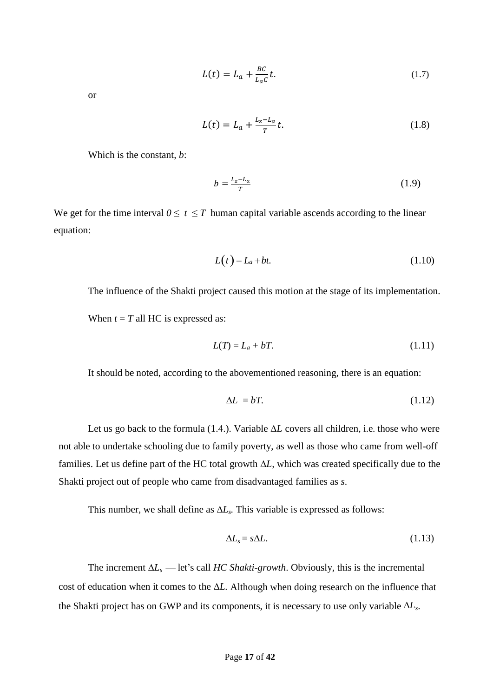$$
L(t) = L_a + \frac{BC}{L_a c} t. \tag{1.7}
$$

or

$$
L(t) = L_a + \frac{L_z - L_a}{T}t.
$$
\n(1.8)

Which is the constant, *b*:

$$
b = \frac{L_z - L_a}{T} \tag{1.9}
$$

We get for the time interval  $0 \le t \le T$  human capital variable ascends according to the linear equation:

$$
L(t) = L_a + bt.
$$
\n<sup>(1.10)</sup>

The influence of the Shakti project caused this motion at the stage of its implementation. When  $t = T$  all HC is expressed as:

$$
L(T) = L_a + bT. \tag{1.11}
$$

It should be noted, according to the abovementioned reasoning, there is an equation:

$$
\Delta L = bT. \tag{1.12}
$$

Let us go back to the formula  $(1.4)$ . Variable  $\Delta L$  covers all children, i.e. those who were not able to undertake schooling due to family poverty, as well as those who came from well-off families. Let us define part of the HC total growth  $\Delta L$ , which was created specifically due to the Shakti project out of people who came from disadvantaged families as *s*.

This number, we shall define as  $\Delta L$ <sub>s</sub>. This variable is expressed as follows:

$$
\Delta L_s = s \Delta L. \tag{1.13}
$$

The increment  $\Delta L_s$  — let's call *HC Shakti-growth*. Obviously, this is the incremental cost of education when it comes to the  $\Delta L$ . Although when doing research on the influence that the Shakti project has on GWP and its components, it is necessary to use only variable  $\Delta L_s$ .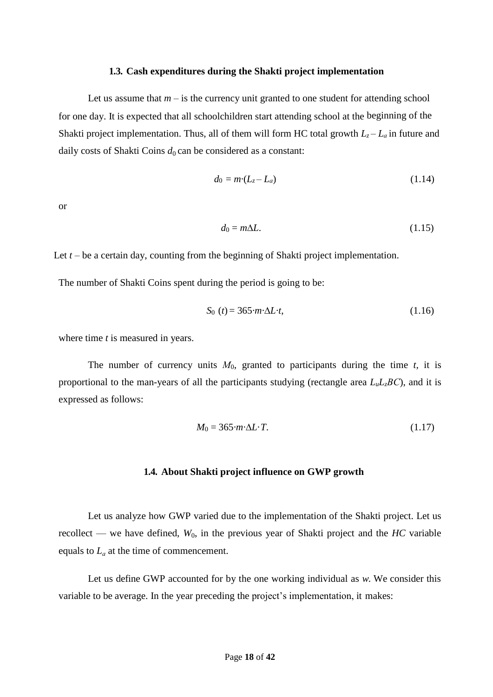#### **1.3. Cash expenditures during the Shakti project implementation**

Let us assume that  $m - i$  is the currency unit granted to one student for attending school for one day. It is expected that all schoolchildren start attending school at the beginning of the Shakti project implementation. Thus, all of them will form HC total growth  $L_z - L_a$  in future and daily costs of Shakti Coins  $d_0$  can be considered as a constant:

$$
d_0 = m \cdot (L_z - L_a) \tag{1.14}
$$

or

$$
d_0 = m\Delta L.\tag{1.15}
$$

Let  $t -$  be a certain day, counting from the beginning of Shakti project implementation.

The number of Shakti Coins spent during the period is going to be:

$$
S_0(t) = 365 \cdot m \cdot \Delta L \cdot t,\tag{1.16}
$$

where time *t* is measured in years.

The number of currency units *М*0, granted to participants during the time *t,* it is proportional to the man-years of all the participants studying (rectangle area *LuLzВС*), and it is expressed as follows:

$$
M_0 = 365 \cdot m \cdot \Delta L \cdot T. \tag{1.17}
$$

#### **1.4. About Shakti project influence on GWP growth**

Let us analyze how GWP varied due to the implementation of the Shakti project. Let us recollect — we have defined, *W*0, in the previous year of Shakti project and the *HC* variable equals to *L<sup>а</sup>* at the time of commencement.

Let us define GWP accounted for by the one working individual as *w.* We consider this variable to be average. In the year preceding the project's implementation, it makes: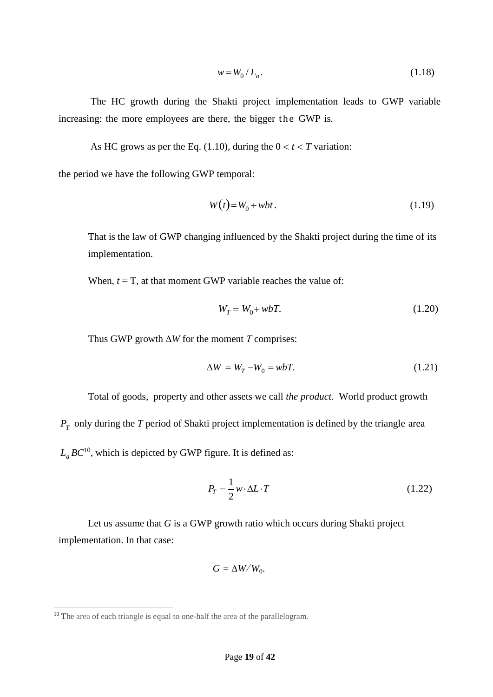$$
w = W_0 / L_a.
$$
 (1.18)

The HC growth during the Shakti project implementation leads to GWP variable increasing: the more employees are there, the bigger the GWP is.

As HC grows as per the Eq. (1.10), during the  $0 < t < T$  variation:

the period we have the following GWP temporal:

$$
W(t) = W_0 + wbt. \tag{1.19}
$$

That is the law of GWP changing influenced by the Shakti project during the time of its implementation.

When,  $t = T$ , at that moment GWP variable reaches the value of:

$$
W_T = W_0 + wbT. \tag{1.20}
$$

Thus GWP growth  $\Delta W$  for the moment *T* comprises:

$$
\Delta W = W_T - W_0 = w bT. \tag{1.21}
$$

Total of goods, property and other assets we call *the product*. World product growth

*P<sub>T</sub>* only during the *T* period of Shakti project implementation is defined by the triangle area

 $L_a BC^{10}$ , which is depicted by GWP figure. It is defined as:

$$
P_T = \frac{1}{2} w \cdot \Delta L \cdot T \tag{1.22}
$$

Let us assume that *G* is a GWP growth ratio which occurs during Shakti project implementation. In that case:

$$
G=\Delta W/W_0.
$$

 $\overline{a}$ 

<sup>&</sup>lt;sup>10</sup> The area of each triangle is equal to one-half the area of the parallelogram.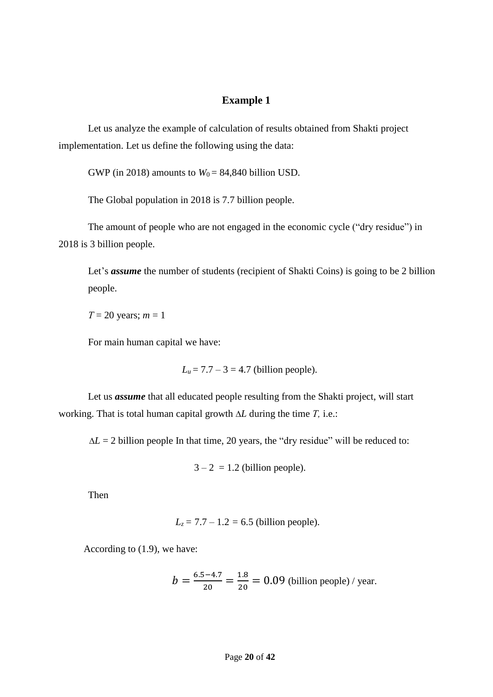### **Example 1**

Let us analyze the example of calculation of results obtained from Shakti project implementation. Let us define the following using the data:

GWP (in 2018) amounts to  $W_0 = 84,840$  billion USD.

The Global population in 2018 is 7.7 billion people.

The amount of people who are not engaged in the economic cycle ("dry residue") in 2018 is 3 billion people.

Let's *assume* the number of students (recipient of Shakti Coins) is going to be 2 billion people.

*Т* = 20 years; *m* = 1

For main human capital we have:

 $L_u = 7.7 - 3 = 4.7$  (billion people).

Let us *assume* that all educated people resulting from the Shakti project, will start working. That is total human capital growth *L* during the time *Т,* i.e.:

 $\Delta L = 2$  billion people In that time, 20 years, the "dry residue" will be reduced to:

 $3 - 2 = 1.2$  (billion people).

Then

$$
L_z = 7.7 - 1.2 = 6.5
$$
 (billion people).

According to (1.9), we have:

$$
b = \frac{6.5 - 4.7}{20} = \frac{1.8}{20} = 0.09
$$
 (billion people) / year.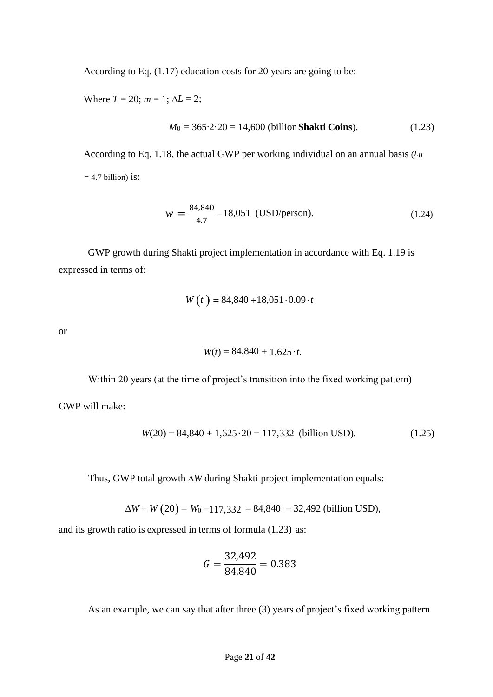According to Eq. (1.17) education costs for 20 years are going to be:

Where  $T = 20$ ;  $m = 1$ ;  $\Delta L = 2$ ;

$$
M_0 = 365.2.20 = 14,600 \text{ (billion Shakti Coins)}.
$$
 (1.23)

According to Eq. 1.18, the actual GWP per working individual on an annual basis (*Lu =* 4.7 billion) is:

$$
w = \frac{84,840}{4.7} = 18,051 \text{ (USD/person)}.
$$
 (1.24)

GWP growth during Shakti project implementation in accordance with Eq. 1.19 is expressed in terms of:

$$
W(t) = 84,840 + 18,051 \cdot 0.09 \cdot t
$$

or

$$
W(t) = 84,840 + 1,625 \cdot t.
$$

Within 20 years (at the time of project's transition into the fixed working pattern)

GWP will make:

$$
W(20) = 84,840 + 1,625 \cdot 20 = 117,332
$$
 (billion USD). (1.25)

Thus, GWP total growth  $\Delta W$  during Shakti project implementation equals:

$$
\Delta W = W (20) - W_0 = 117,332 - 84,840 = 32,492 \text{ (billion USD)},
$$

and its growth ratio is expressed in terms of formula (1.23) as:

$$
G = \frac{32,492}{84,840} = 0.383
$$

As an example, we can say that after three (3) years of project's fixed working pattern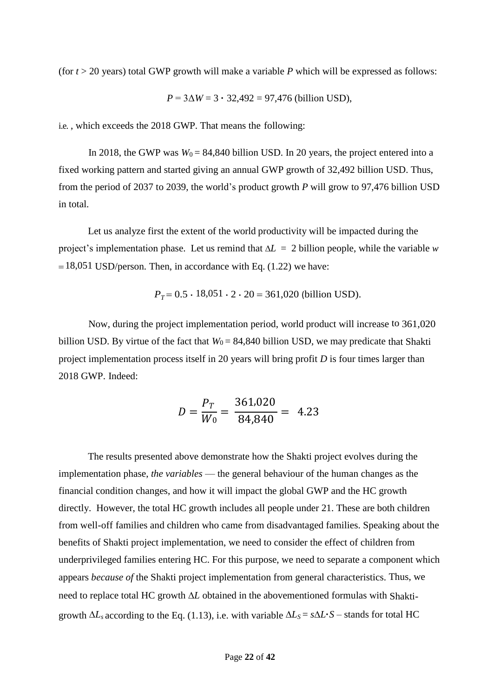(for  $t > 20$  years) total GWP growth will make a variable  $P$  which will be expressed as follows:

$$
P = 3\Delta W = 3 \cdot 32,492 = 97,476
$$
 (billion USD),

i.e. , which exceeds the 2018 GWP. That means the following:

In 2018, the GWP was  $W_0 = 84,840$  billion USD. In 20 years, the project entered into a fixed working pattern and started giving an annual GWP growth of 32,492 billion USD. Thus, from the period of 2037 to 2039, the world's product growth *P* will grow to 97,476 billion USD in total.

Let us analyze first the extent of the world productivity will be impacted during the project's implementation phase. Let us remind that  $\Delta L = 2$  billion people, while the variable *w*  $= 18,051$  USD/person. Then, in accordance with Eq. (1.22) we have:

$$
P_T = 0.5 \cdot 18,051 \cdot 2 \cdot 20 = 361,020
$$
 (billion USD).

Now, during the project implementation period, world product will increase to 361,020 billion USD. By virtue of the fact that  $W_0 = 84,840$  billion USD, we may predicate that Shakti project implementation process itself in 20 years will bring profit *D* is four times larger than 2018 GWP. Indeed:

$$
D = \frac{P_T}{W_0} = \frac{361,020}{84,840} = 4.23
$$

The results presented above demonstrate how the Shakti project evolves during the implementation phase, *the variables* — the general behaviour of the human changes as the financial condition changes, and how it will impact the global GWP and the HC growth directly. However, the total HC growth includes all people under 21. These are both children from well-off families and children who came from disadvantaged families. Speaking about the benefits of Shakti project implementation, we need to consider the effect of children from underprivileged families entering HC. For this purpose, we need to separate a component which appears *because of* the Shakti project implementation from general characteristics. Thus, we need to replace total HC growth  $\Delta L$  obtained in the abovementioned formulas with Shaktigrowth  $\Delta L_s$  according to the Eq. (1.13), i.e. with variable  $\Delta L_s = s \Delta L \cdot S$  – stands for total HC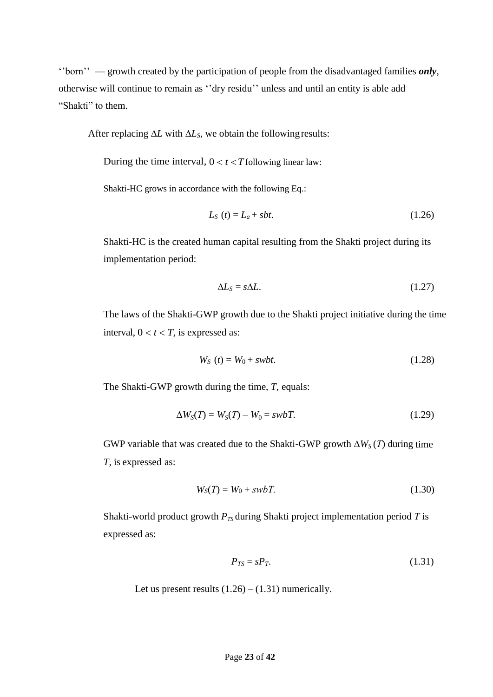''born'' — growth created by the participation of people from the disadvantaged families *only*, otherwise will continue to remain as ''dry residu'' unless and until an entity is able add "Shakti" to them.

After replacing  $\Delta L$  with  $\Delta L$ <sub>*S*</sub>, we obtain the following results:

During the time interval,  $0 < t < T$  following linear law:

Shakti-HC grows in accordance with the following Eq.:

$$
L_S(t) = L_a + sbt. \tag{1.26}
$$

Shakti-HC is the created human capital resulting from the Shakti project during its implementation period:

$$
\Delta L_{\rm S} = s \Delta L. \tag{1.27}
$$

The laws of the Shakti-GWP growth due to the Shakti project initiative during the time interval,  $0 < t < T$ , is expressed as:

$$
WS (t) = W0 + swbt.
$$
 (1.28)

The Shakti-GWP growth during the time, *T,* equals:

$$
\Delta W_S(T) = W_S(T) - W_0 = swbT. \tag{1.29}
$$

GWP variable that was created due to the Shakti-GWP growth  $\Delta W_S(T)$  during time *T,* is expressed as:

$$
W_S(T) = W_0 + swbT.
$$
\n
$$
(1.30)
$$

Shakti-world product growth  $P_{TS}$  during Shakti project implementation period *T* is expressed as:

$$
P_{TS} = sP_T. \tag{1.31}
$$

Let us present results  $(1.26) - (1.31)$  numerically.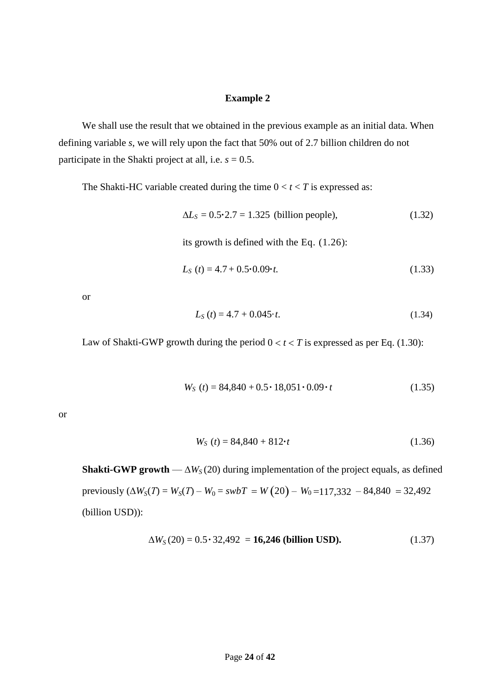#### **Example 2**

We shall use the result that we obtained in the previous example as an initial data. When defining variable *s*, we will rely upon the fact that 50% out of 2.7 billion children do not participate in the Shakti project at all, i.e.  $s = 0.5$ .

The Shakti-HC variable created during the time  $0 < t < T$  is expressed as:

$$
\Delta L_s = 0.5 \cdot 2.7 = 1.325
$$
 (billion people), (1.32)

its growth is defined with the Eq. (1.26):

$$
L_S(t) = 4.7 + 0.5 \cdot 0.09 \cdot t. \tag{1.33}
$$

or

$$
L_S(t) = 4.7 + 0.045 \cdot t. \tag{1.34}
$$

Law of Shakti-GWP growth during the period  $0 < t < T$  is expressed as per Eq. (1.30):

$$
WS (t) = 84,840 + 0.5 \cdot 18,051 \cdot 0.09 \cdot t
$$
 (1.35)

or

$$
WS (t) = 84,840 + 812 \cdot t \tag{1.36}
$$

**Shakti-GWP growth** —  $\Delta W_S(20)$  during implementation of the project equals, as defined previously  $(\Delta W_S(T) = W_S(T) - W_0 = swbT = W(20) - W_0 = 117,332 - 84,840 = 32,492$ (billion USD)):

$$
\Delta W_S(20) = 0.5 \cdot 32{,}492 = 16{,}246 \text{ (billion USD)}.
$$
 (1.37)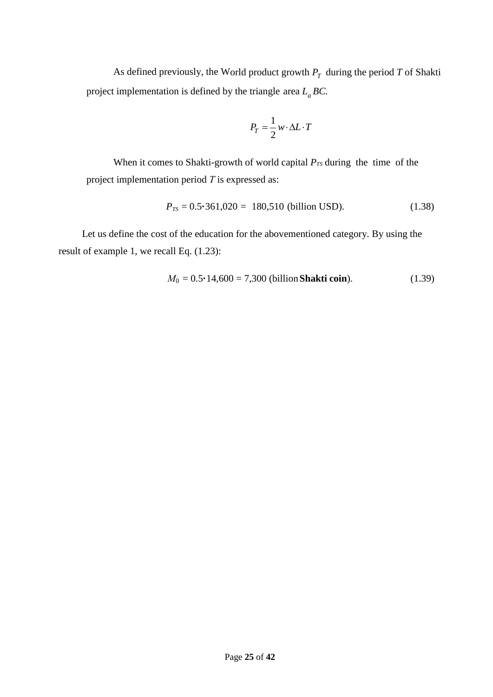As defined previously, the World product growth  $P_T$  during the period  $T$  of Shakti project implementation is defined by the triangle area *L<sup>a</sup> BC.* 

$$
P_T = \frac{1}{2} w \cdot \Delta L \cdot T
$$

When it comes to Shakti-growth of world capital  $P_{TS}$  during the time of the project implementation period *Т* is expressed as:

$$
P_{TS} = 0.5 \cdot 361,020 = 180,510 \text{ (billion USD)}.
$$
 (1.38)

Let us define the cost of the education for the abovementioned category. By using the result of example 1, we recall Eq. (1.23):

$$
M_0 = 0.5 \cdot 14,600 = 7,300 \text{ (billion Shakti coin)}.
$$
 (1.39)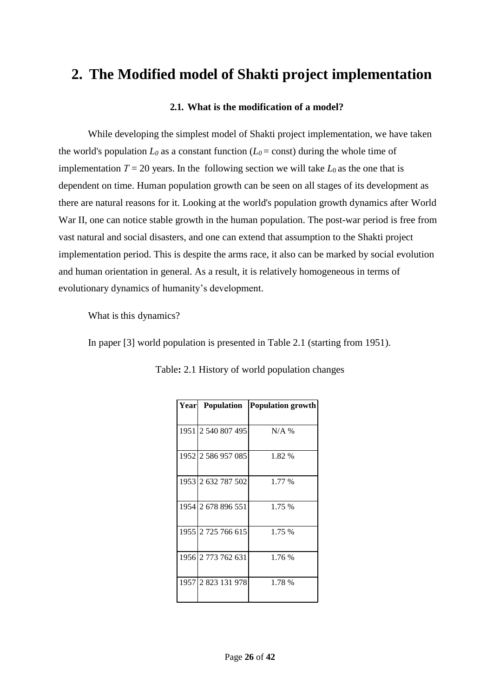## **2. The Modified model of Shakti project implementation**

### **2.1. What is the modification of a model?**

While developing the simplest model of Shakti project implementation, we have taken the world's population  $L_0$  as a constant function ( $L_0$  = const) during the whole time of implementation  $T = 20$  years. In the following section we will take  $L_0$  as the one that is dependent on time. Human population growth can be seen on all stages of its development as there are natural reasons for it. Looking at the world's population growth dynamics after World War II, one can notice stable growth in the human population. The post-war period is free from vast natural and social disasters, and one can extend that assumption to the Shakti project implementation period. This is despite the arms race, it also can be marked by social evolution and human orientation in general. As a result, it is relatively homogeneous in terms of evolutionary dynamics of humanity's development.

What is this dynamics?

In paper [3] world population is presented in Table 2.1 (starting from 1951).

| Year Population    | <b>Population growth</b> |
|--------------------|--------------------------|
| 1951 2 540 807 495 | $N/A$ %                  |
| 1952 2 586 957 085 | 1.82 %                   |
| 1953 2 632 787 502 | 1.77 %                   |
| 1954 2 678 896 551 | 1.75 %                   |
| 1955 2 725 766 615 | 1.75 %                   |
| 1956 2 773 762 631 | 1.76 %                   |
| 1957 2 823 131 978 | 1.78 %                   |

Table**:** 2.1 History of world population changes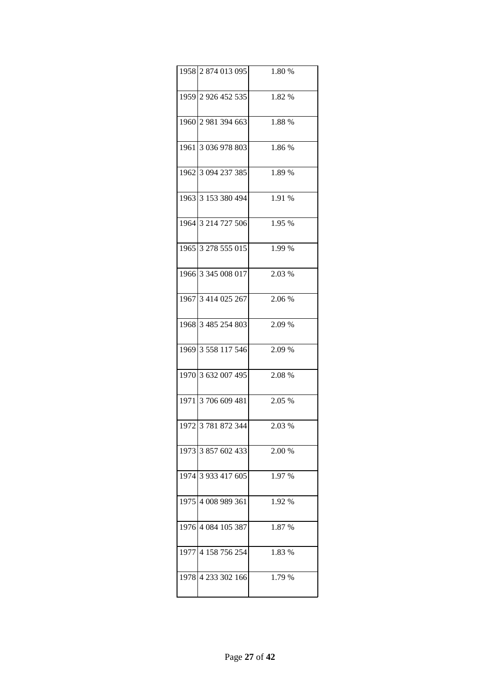| 1958 2 874 013 095 | 1.80 % |
|--------------------|--------|
| 1959 2 926 452 535 | 1.82 % |
| 1960 2 981 394 663 | 1.88 % |
| 1961 3 036 978 803 | 1.86 % |
| 1962 3 094 237 385 | 1.89 % |
| 1963 3 153 380 494 | 1.91 % |
| 1964 3 214 727 506 | 1.95 % |
| 1965 3 278 555 015 | 1.99 % |
| 1966 3 345 008 017 | 2.03 % |
| 1967 3 414 025 267 | 2.06 % |
| 1968 3 485 254 803 | 2.09 % |
| 1969 3 558 117 546 | 2.09 % |
| 1970 3 632 007 495 | 2.08 % |
| 1971 3 706 609 481 | 2.05 % |
| 1972 3 781 872 344 | 2.03 % |
| 1973 3 857 602 433 | 2.00 % |
| 1974 3 933 417 605 | 1.97 % |
| 1975 4 008 989 361 | 1.92 % |
| 1976 4 084 105 387 | 1.87 % |
| 1977 4 158 756 254 | 1.83 % |
| 1978 4 233 302 166 | 1.79 % |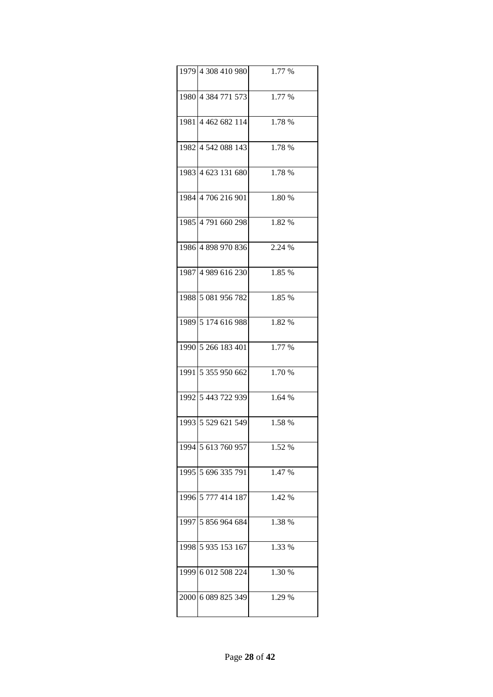| 1979 4 308 410 980 | 1.77 % |
|--------------------|--------|
| 1980 4 384 771 573 | 1.77 % |
| 1981 4 462 682 114 | 1.78 % |
| 1982 4 542 088 143 | 1.78 % |
| 1983 4 623 131 680 | 1.78 % |
| 1984 4 706 216 901 | 1.80 % |
| 1985 4791 660 298  | 1.82 % |
| 1986 4 898 970 836 | 2.24 % |
| 1987 4 989 616 230 | 1.85 % |
| 1988 5 081 956 782 | 1.85 % |
| 1989 5 174 616 988 | 1.82 % |
| 1990 5 266 183 401 | 1.77 % |
| 1991 5 355 950 662 | 1.70 % |
| 1992 5 443 722 939 | 1.64 % |
| 1993 5 529 621 549 | 1.58%  |
| 1994 5 613 760 957 | 1.52 % |
| 1995 5 696 335 791 | 1.47 % |
| 1996 5 777 414 187 | 1.42 % |
| 1997 5 856 964 684 | 1.38 % |
| 1998 5 935 153 167 | 1.33 % |
| 1999 6 012 508 224 | 1.30 % |
| 2000 6 089 825 349 | 1.29 % |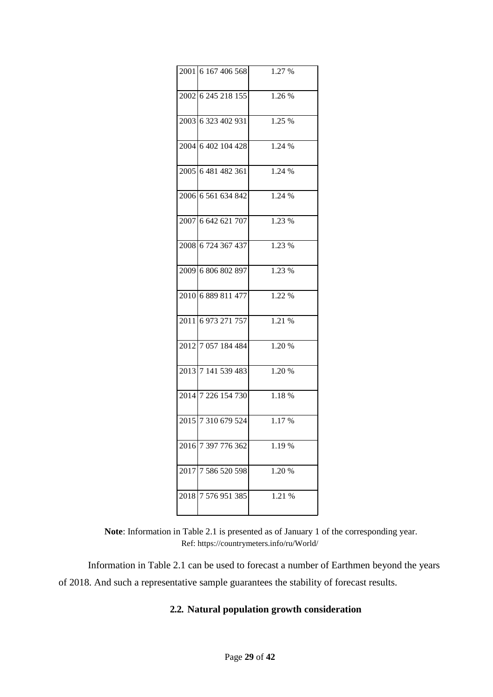| 2001 6 167 406 568 | 1.27 % |
|--------------------|--------|
| 2002 6 245 218 155 | 1.26 % |
| 2003 6 323 402 931 | 1.25 % |
| 2004 6 402 104 428 | 1.24 % |
| 2005 6 481 482 361 | 1.24 % |
| 2006 6 561 634 842 | 1.24 % |
| 2007 6 642 621 707 | 1.23 % |
| 2008 6 724 367 437 | 1.23 % |
| 2009 6 806 802 897 | 1.23 % |
| 2010 6 889 811 477 | 1.22 % |
| 2011 6 973 271 757 | 1.21 % |
| 2012 7 057 184 484 | 1.20 % |
| 2013 7 141 539 483 | 1.20 % |
| 2014 7 226 154 730 | 1.18%  |
| 2015 7 310 679 524 | 1.17%  |
| 2016 7 397 776 362 | 1.19 % |
| 2017 7 586 520 598 | 1.20 % |
| 2018 7 576 951 385 | 1.21 % |

**Note**: Information in Table 2.1 is presented as of January 1 of the corresponding year. Ref: https://countrymeters.info/ru/World/

Information in Table 2.1 can be used to forecast a number of Earthmen beyond the years of 2018. And such a representative sample guarantees the stability of forecast results.

## **2.2. Natural population growth consideration**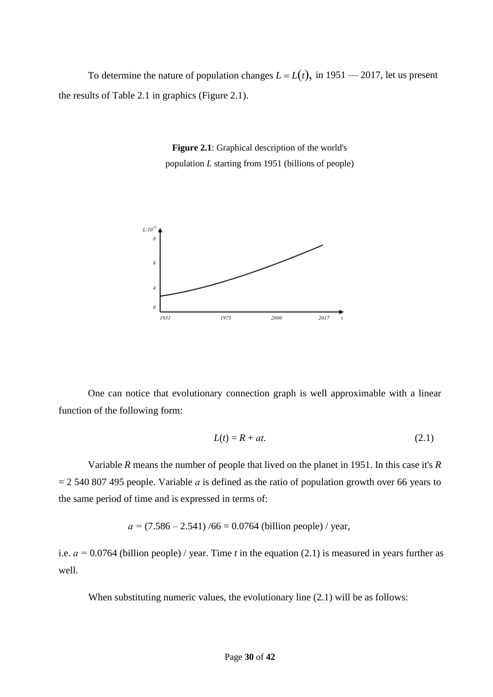To determine the nature of population changes  $L = L(t)$ , in 1951 — 2017, let us present the results of Table 2.1 in graphics (Figure 2.1).

> **Figure 2.1**: Graphical description of the world's population *L* starting from 1951 (billions of people)



One can notice that evolutionary connection graph is well approximable with a linear function of the following form:

$$
L(t) = R + at.\t\t(2.1)
$$

Variable *R* means the number of people that lived on the planet in 1951. In this case it's *R*  = 2 540 807 495 people. Variable *а* is defined as the ratio of population growth over 66 years to the same period of time and is expressed in terms of:

$$
a = (7.586 - 2.541) / 66 = 0.0764
$$
 (billion people) / year,

i.e. *а =* 0.0764 (billion people) / year. Time *t* in the equation (2.1) is measured in years further as well.

When substituting numeric values, the evolutionary line  $(2.1)$  will be as follows: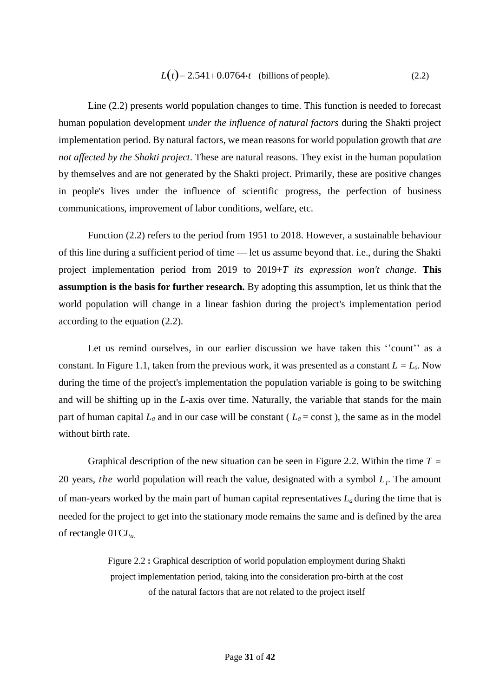$$
L(t) = 2.541 + 0.0764 \cdot t
$$
 (billions of people). (2.2)

Line (2.2) presents world population changes to time. This function is needed to forecast human population development *under the influence of natural factors* during the Shakti project implementation period. By natural factors, we mean reasons for world population growth that *are not affected by the Shakti project*. These are natural reasons. They exist in the human population by themselves and are not generated by the Shakti project. Primarily, these are positive changes in people's lives under the influence of scientific progress, the perfection of business communications, improvement of labor conditions, welfare, etc.

Function (2.2) refers to the period from 1951 to 2018. However, a sustainable behaviour of this line during a sufficient period of time — let us assume beyond that. i.e., during the Shakti project implementation period from 2019 to 2019+*T its expression won't change*. **This assumption is the basis for further research.** By adopting this assumption, let us think that the world population will change in a linear fashion during the project's implementation period according to the equation (2.2).

Let us remind ourselves, in our earlier discussion we have taken this "count" as a constant. In Figure 1.1, taken from the previous work, it was presented as a constant  $L = L_0$ . Now during the time of the project's implementation the population variable is going to be switching and will be shifting up in the *L*-axis over time. Naturally, the variable that stands for the main part of human capital  $L_a$  and in our case will be constant ( $L_a$  = const), the same as in the model without birth rate.

Graphical description of the new situation can be seen in Figure 2.2. Within the time *T =* 20 years*, the* world population will reach the value, designated with a symbol *L<sup>1</sup>* . The amount of man-years worked by the main part of human capital representatives *L<sup>a</sup>* during the time that is needed for the project to get into the stationary mode remains the same and is defined by the area of rectangle 0TC*La.*

> Figure 2.2 **:** Graphical description of world population employment during Shakti project implementation period, taking into the consideration pro-birth at the cost of the natural factors that are not related to the project itself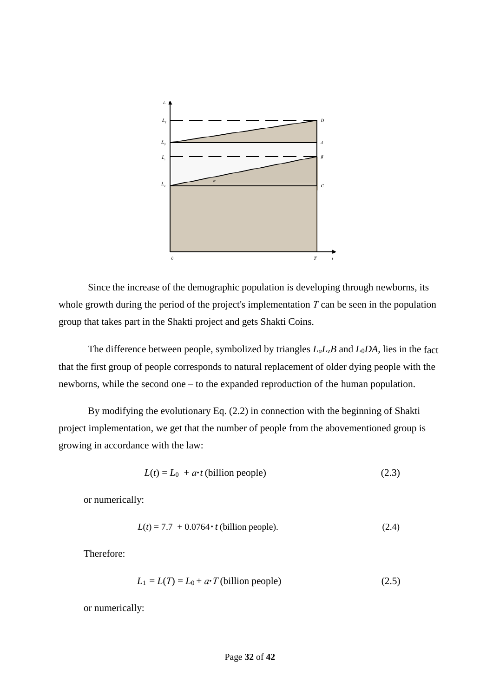

Since the increase of the demographic population is developing through newborns, its whole growth during the period of the project's implementation *Т* can be seen in the population group that takes part in the Shakti project and gets Shakti Coins.

The difference between people, symbolized by triangles *LaL*z*B* and *L*0*DA,* lies in the fact that the first group of people corresponds to natural replacement of older dying people with the newborns, while the second one – to the expanded reproduction of the human population.

By modifying the evolutionary Eq. (2.2) in connection with the beginning of Shakti project implementation, we get that the number of people from the abovementioned group is growing in accordance with the law:

$$
L(t) = L_0 + a \cdot t \text{ (billion people)}
$$
\n
$$
(2.3)
$$

or numerically:

$$
L(t) = 7.7 + 0.0764 \cdot t \text{ (billion people)}.
$$
 (2.4)

Therefore:

$$
L_1 = L(T) = L_0 + a \cdot T \text{ (billion people)}\tag{2.5}
$$

or numerically: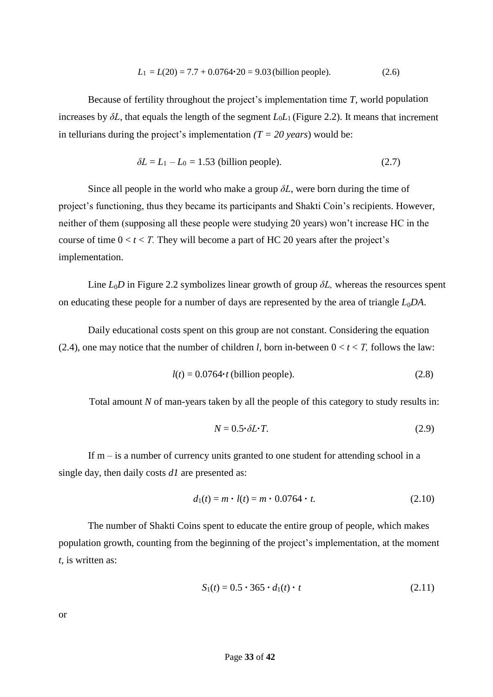$$
L_1 = L(20) = 7.7 + 0.0764 \cdot 20 = 9.03 \text{ (billion people)}.
$$
 (2.6)

Because of fertility throughout the project's implementation time *T,* world population increases by  $\delta L$ , that equals the length of the segment  $L_0L_1$  (Figure 2.2). It means that increment in tellurians during the project's implementation  $(T = 20 \text{ years})$  would be:

$$
\delta L = L_1 - L_0 = 1.53
$$
 (billion people). (2.7)

Since all people in the world who make a group  $\delta L$ , were born during the time of project's functioning, thus they became its participants and Shakti Coin's recipients. However, neither of them (supposing all these people were studying 20 years) won't increase HC in the course of time  $0 < t < T$ . They will become a part of HC 20 years after the project's implementation.

Line *L*0*D* in Figure 2.2 symbolizes linear growth of group *δL,* whereas the resources spent on educating these people for a number of days are represented by the area of triangle  $L_0DA$ .

Daily educational costs spent on this group are not constant. Considering the equation (2.4), one may notice that the number of children *l*, born in-between  $0 < t < T$ , follows the law:

$$
l(t) = 0.0764 \cdot t \text{ (billion people)}.
$$
\n
$$
(2.8)
$$

Total amount *N* of man-years taken by all the people of this category to study results in:

$$
N = 0.5 \cdot \delta L \cdot T. \tag{2.9}
$$

If  $m - i$  is a number of currency units granted to one student for attending school in a single day, then daily costs *d1* are presented as:

$$
d_1(t) = m \cdot l(t) = m \cdot 0.0764 \cdot t. \tag{2.10}
$$

The number of Shakti Coins spent to educate the entire group of people, which makes population growth, counting from the beginning of the project's implementation, at the moment *t,* is written as:

$$
S_1(t) = 0.5 \cdot 365 \cdot d_1(t) \cdot t \tag{2.11}
$$

or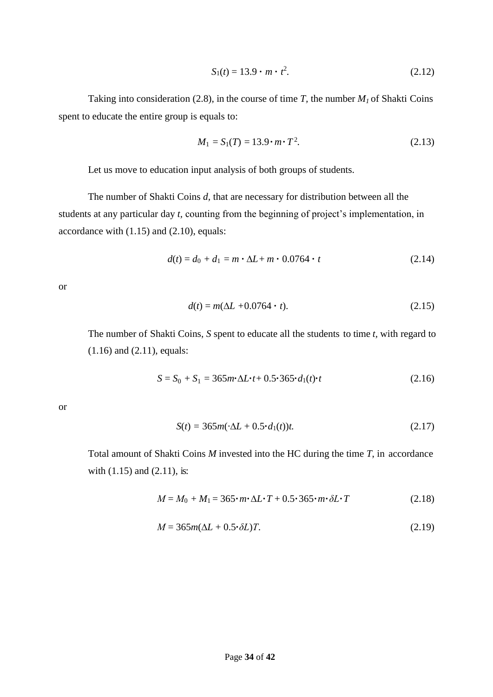$$
S_1(t) = 13.9 \cdot m \cdot t^2. \tag{2.12}
$$

Taking into consideration (2.8), in the course of time *T*, the number  $M<sub>1</sub>$  of Shakti Coins spent to educate the entire group is equals to:

$$
M_1 = S_1(T) = 13.9 \cdot m \cdot T^2. \tag{2.13}
$$

Let us move to education input analysis of both groups of students.

The number of Shakti Coins *d,* that are necessary for distribution between all the students at any particular day *t,* counting from the beginning of project's implementation, in accordance with (1.15) and (2.10), equals:

$$
d(t) = d_0 + d_1 = m \cdot \Delta L + m \cdot 0.0764 \cdot t \tag{2.14}
$$

or

$$
d(t) = m(\Delta L + 0.0764 \cdot t). \tag{2.15}
$$

The number of Shakti Coins, *S* spent to educate all the students to time *t,* with regard to (1.16) and (2.11), equals:

$$
S = S_0 + S_1 = 365m \cdot \Delta L \cdot t + 0.5 \cdot 365 \cdot d_1(t) \cdot t \tag{2.16}
$$

or

$$
S(t) = 365m(\cdot \Delta L + 0.5 \cdot d_1(t))t.
$$
 (2.17)

Total amount of Shakti Coins *M* invested into the HC during the time *T*, in accordance with (1.15) and (2.11), is:

$$
M = M_0 + M_1 = 365 \cdot m \cdot \Delta L \cdot T + 0.5 \cdot 365 \cdot m \cdot \delta L \cdot T \tag{2.18}
$$

$$
M = 365m(\Delta L + 0.5 \cdot \delta L)T.
$$
\n(2.19)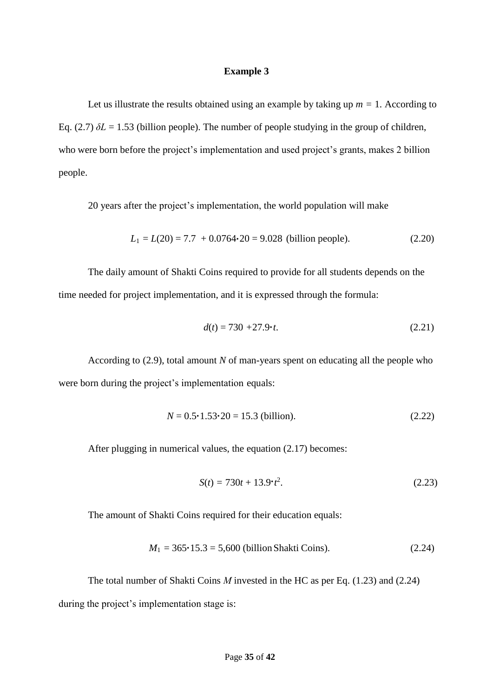#### **Example 3**

Let us illustrate the results obtained using an example by taking up  $m = 1$ . According to Eq. (2.7)  $\delta L = 1.53$  (billion people). The number of people studying in the group of children, who were born before the project's implementation and used project's grants, makes 2 billion people.

20 years after the project's implementation, the world population will make

$$
L_1 = L(20) = 7.7 + 0.0764 \cdot 20 = 9.028
$$
 (billion people). (2.20)

The daily amount of Shakti Coins required to provide for all students depends on the time needed for project implementation, and it is expressed through the formula:

$$
d(t) = 730 + 27.9 \cdot t. \tag{2.21}
$$

According to (2.9), total amount *N* of man-years spent on educating all the people who were born during the project's implementation equals:

$$
N = 0.5 \cdot 1.53 \cdot 20 = 15.3 \text{ (billion)}.
$$
 (2.22)

After plugging in numerical values, the equation (2.17) becomes:

$$
S(t) = 730t + 13.9 \cdot t^2. \tag{2.23}
$$

The amount of Shakti Coins required for their education equals:

$$
M_1 = 365 \cdot 15.3 = 5,600 \text{ (billion Shakti coins)}.
$$
 (2.24)

The total number of Shakti Coins *M* invested in the HC as per Eq. (1.23) and (2.24) during the project's implementation stage is: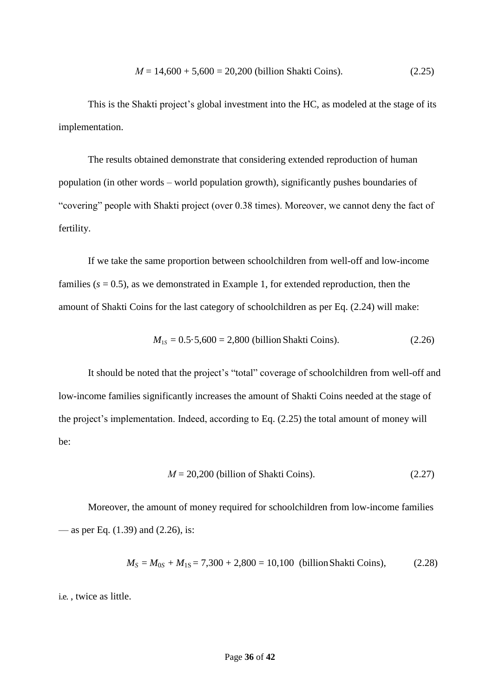$$
M = 14,600 + 5,600 = 20,200
$$
 (billion Shakti coins). (2.25)

This is the Shakti project's global investment into the HC, as modeled at the stage of its implementation.

The results obtained demonstrate that considering extended reproduction of human population (in other words – world population growth), significantly pushes boundaries of "covering" people with Shakti project (over 0.38 times). Moreover, we cannot deny the fact of fertility.

If we take the same proportion between schoolchildren from well-off and low-income families  $(s = 0.5)$ , as we demonstrated in Example 1, for extended reproduction, then the amount of Shakti Coins for the last category of schoolchildren as per Eq. (2.24) will make:

$$
M_{1s} = 0.5.5,600 = 2,800 \text{ (billion Shakti Coins).}
$$
 (2.26)

It should be noted that the project's "total" coverage of schoolchildren from well-off and low-income families significantly increases the amount of Shakti Coins needed at the stage of the project's implementation. Indeed, according to Eq. (2.25) the total amount of money will be:

$$
M = 20,200
$$
 (billion of Shakti coins). (2.27)

Moreover, the amount of money required for schoolchildren from low-income families — as per Eq. (1.39) and (2.26), is:

$$
M_S = M_{0S} + M_{1S} = 7{,}300 + 2{,}800 = 10{,}100
$$
 (billion Shakti Coins), (2.28)

i.e. , twice as little.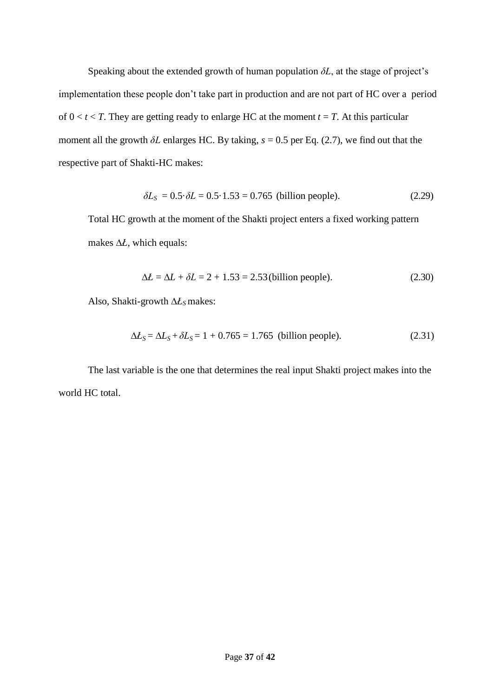Speaking about the extended growth of human population  $\delta L$ , at the stage of project's implementation these people don't take part in production and are not part of HC over a period of  $0 < t < T$ . They are getting ready to enlarge HC at the moment  $t = T$ . At this particular moment all the growth  $\delta L$  enlarges HC. By taking,  $s = 0.5$  per Eq. (2.7), we find out that the respective part of Shakti-HC makes:

$$
\delta L_S = 0.5 \cdot \delta L = 0.5 \cdot 1.53 = 0.765 \text{ (billion people)}.\tag{2.29}
$$

Total HC growth at the moment of the Shakti project enters a fixed working pattern makes  $\Delta t$ , which equals:

$$
\Delta L = \Delta L + \delta L = 2 + 1.53 = 2.53 \text{ (billion people)}.
$$
\n(2.30)

Also, Shakti-growth *Ł<sup>S</sup>* makes:

$$
\Delta L_S = \Delta L_S + \delta L_S = 1 + 0.765 = 1.765 \text{ (billion people)}.\tag{2.31}
$$

The last variable is the one that determines the real input Shakti project makes into the world HC total.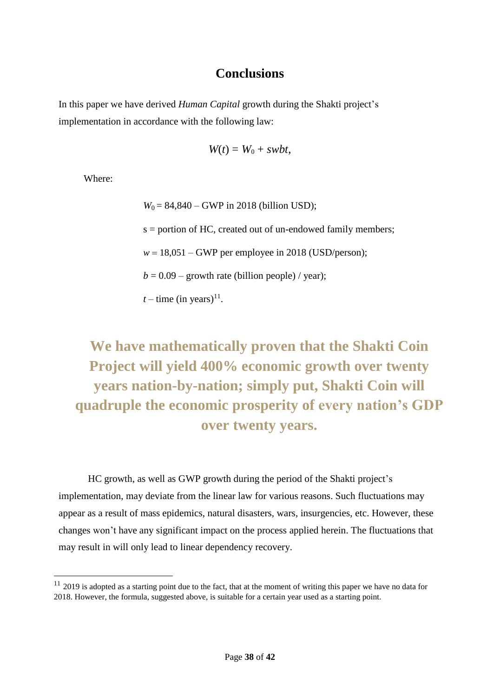## **Conclusions**

In this paper we have derived *Human Capital* growth during the Shakti project's implementation in accordance with the following law:

$$
W(t) = W_0 + swbt,
$$

Where:

 $\overline{a}$ 

 $W_0 = 84,840 - GWP$  in 2018 (billion USD); s = portion of HC, created out of un-endowed family members;  $w = 18,051$  – GWP per employee in 2018 (USD/person);  $b = 0.09$  – growth rate (billion people) / year);  $t$  – time (in years)<sup>11</sup>.

# **We have mathematically proven that the Shakti Coin Project will yield 400% economic growth over twenty years nation-by-nation; simply put, Shakti Coin will quadruple the economic prosperity of every nation's GDP over twenty years.**

HC growth, as well as GWP growth during the period of the Shakti project's implementation, may deviate from the linear law for various reasons. Such fluctuations may appear as a result of mass epidemics, natural disasters, wars, insurgencies, etc. However, these changes won't have any significant impact on the process applied herein. The fluctuations that may result in will only lead to linear dependency recovery.

 $11$  2019 is adopted as a starting point due to the fact, that at the moment of writing this paper we have no data for 2018. However, the formula, suggested above, is suitable for a certain year used as a starting point.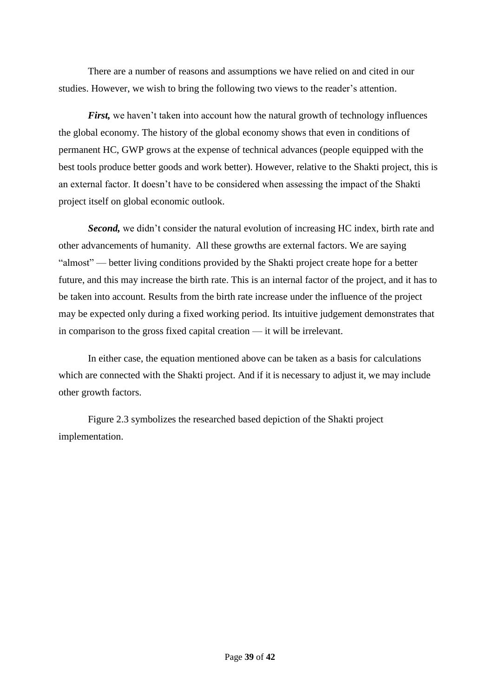There are a number of reasons and assumptions we have relied on and cited in our studies. However, we wish to bring the following two views to the reader's attention.

*First*, we haven't taken into account how the natural growth of technology influences the global economy. The history of the global economy shows that even in conditions of permanent HC, GWP grows at the expense of technical advances (people equipped with the best tools produce better goods and work better). However, relative to the Shakti project, this is an external factor. It doesn't have to be considered when assessing the impact of the Shakti project itself on global economic outlook.

*Second,* we didn't consider the natural evolution of increasing HC index, birth rate and other advancements of humanity. All these growths are external factors. We are saying "almost" — better living conditions provided by the Shakti project create hope for a better future, and this may increase the birth rate. This is an internal factor of the project, and it has to be taken into account. Results from the birth rate increase under the influence of the project may be expected only during a fixed working period. Its intuitive judgement demonstrates that in comparison to the gross fixed capital creation — it will be irrelevant.

In either case, the equation mentioned above can be taken as a basis for calculations which are connected with the Shakti project. And if it is necessary to adjust it, we may include other growth factors.

Figure 2.3 symbolizes the researched based depiction of the Shakti project implementation.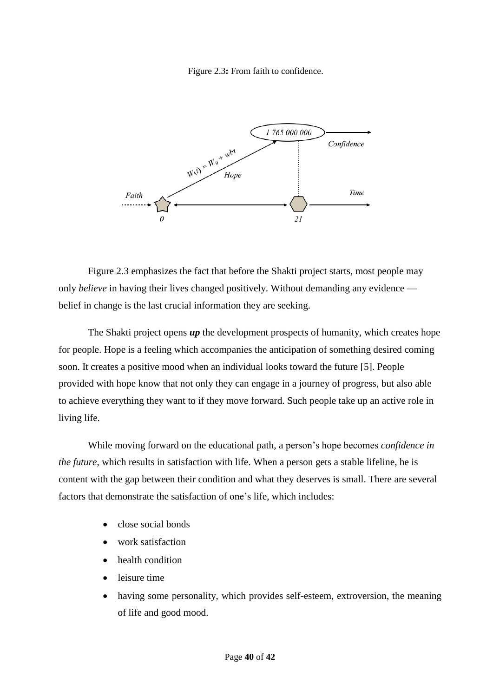Figure 2.3**:** From faith to confidence.



Figure 2.3 emphasizes the fact that before the Shakti project starts, most people may only *believe* in having their lives changed positively. Without demanding any evidence belief in change is the last crucial information they are seeking.

The Shakti project opens **up** the development prospects of humanity, which creates hope for people. Hope is a feeling which accompanies the anticipation of something desired coming soon. It creates a positive mood when an individual looks toward the future [5]. People provided with hope know that not only they can engage in a journey of progress, but also able to achieve everything they want to if they move forward. Such people take up an active role in living life.

While moving forward on the educational path, a person's hope becomes *confidence in the future,* which results in satisfaction with life. When a person gets a stable lifeline, he is content with the gap between their condition and what they deserves is small. There are several factors that demonstrate the satisfaction of one's life, which includes:

- close social bonds
- work satisfaction
- health condition
- leisure time
- having some personality, which provides self-esteem, extroversion, the meaning of life and good mood.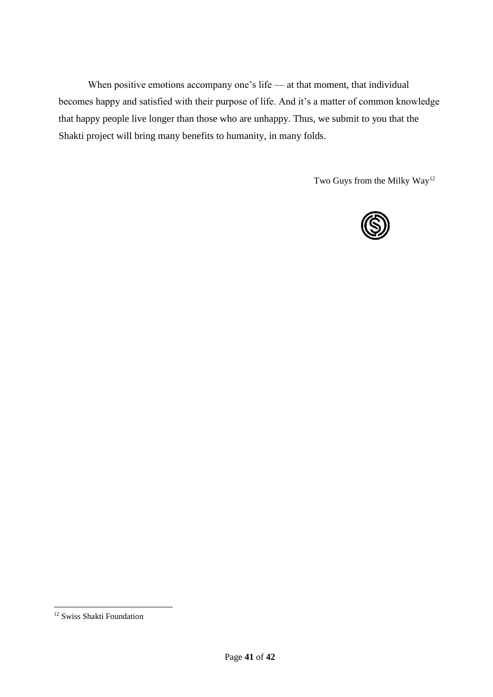When positive emotions accompany one's life — at that moment, that individual becomes happy and satisfied with their purpose of life. And it's a matter of common knowledge that happy people live longer than those who are unhappy. Thus, we submit to you that the Shakti project will bring many benefits to humanity, in many folds.

Two Guys from the Milky Way<sup>12</sup>



 $\overline{a}$ 

<sup>&</sup>lt;sup>12</sup> Swiss Shakti Foundation